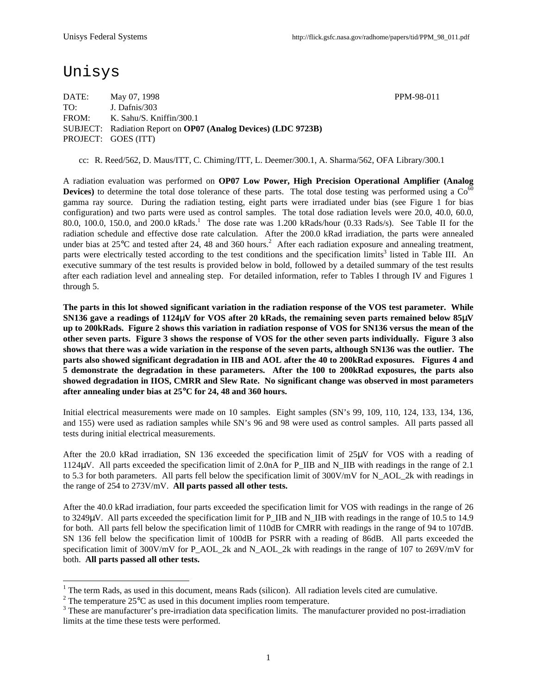# Unisys

DATE: May 07, 1998 **PPM-98-011** TO: J. Dafnis/303 FROM: K. Sahu/S. Kniffin/300.1 SUBJECT: Radiation Report on **OP07 (Analog Devices) (LDC 9723B)** PROJECT: GOES (ITT)

cc: R. Reed/562, D. Maus/ITT, C. Chiming/ITT, L. Deemer/300.1, A. Sharma/562, OFA Library/300.1

A radiation evaluation was performed on **OP07 Low Power, High Precision Operational Amplifier (Analog Devices**) to determine the total dose tolerance of these parts. The total dose testing was performed using a  $Co<sup>60</sup>$ gamma ray source. During the radiation testing, eight parts were irradiated under bias (see Figure 1 for bias configuration) and two parts were used as control samples. The total dose radiation levels were 20.0, 40.0, 60.0, 80.0, 100.0, 150.0, and 200.0 kRads.<sup>1</sup> The dose rate was 1.200 kRads/hour (0.33 Rads/s). See Table II for the radiation schedule and effective dose rate calculation. After the 200.0 kRad irradiation, the parts were annealed under bias at  $25^{\circ}$ C and tested after 24, 48 and 360 hours.<sup>2</sup> After each radiation exposure and annealing treatment, parts were electrically tested according to the test conditions and the specification limits<sup>3</sup> listed in Table III. An executive summary of the test results is provided below in bold, followed by a detailed summary of the test results after each radiation level and annealing step. For detailed information, refer to Tables I through IV and Figures 1 through 5.

**The parts in this lot showed significant variation in the radiation response of the VOS test parameter. While SN136 gave a readings of 1124**μ**V for VOS after 20 kRads, the remaining seven parts remained below 85**μ**V up to 200kRads. Figure 2 shows this variation in radiation response of VOS for SN136 versus the mean of the other seven parts. Figure 3 shows the response of VOS for the other seven parts individually. Figure 3 also shows that there was a wide variation in the response of the seven parts, although SN136 was the outlier. The parts also showed significant degradation in IIB and AOL after the 40 to 200kRad exposures. Figures 4 and 5 demonstrate the degradation in these parameters. After the 100 to 200kRad exposures, the parts also showed degradation in IIOS, CMRR and Slew Rate. No significant change was observed in most parameters after annealing under bias at 25**°**C for 24, 48 and 360 hours.**

Initial electrical measurements were made on 10 samples. Eight samples (SN's 99, 109, 110, 124, 133, 134, 136, and 155) were used as radiation samples while SN's 96 and 98 were used as control samples. All parts passed all tests during initial electrical measurements.

After the 20.0 kRad irradiation, SN 136 exceeded the specification limit of 25μV for VOS with a reading of 1124 $\mu$ V. All parts exceeded the specification limit of 2.0nA for P\_IIB and N\_IIB with readings in the range of 2.1 to 5.3 for both parameters. All parts fell below the specification limit of 300V/mV for N\_AOL\_2k with readings in the range of 254 to 273V/mV. **All parts passed all other tests.**

After the 40.0 kRad irradiation, four parts exceeded the specification limit for VOS with readings in the range of 26 to 3249μV. All parts exceeded the specification limit for P\_IIB and N\_IIB with readings in the range of 10.5 to 14.9 for both. All parts fell below the specification limit of 110dB for CMRR with readings in the range of 94 to 107dB. SN 136 fell below the specification limit of 100dB for PSRR with a reading of 86dB. All parts exceeded the specification limit of 300V/mV for P\_AOL\_2k and N\_AOL\_2k with readings in the range of 107 to 269V/mV for both. **All parts passed all other tests.**

<sup>&</sup>lt;sup>1</sup> The term Rads, as used in this document, means Rads (silicon). All radiation levels cited are cumulative.

<sup>&</sup>lt;sup>2</sup> The temperature 25 $\rm{°C}$  as used in this document implies room temperature.

 $3$  These are manufacturer's pre-irradiation data specification limits. The manufacturer provided no post-irradiation limits at the time these tests were performed.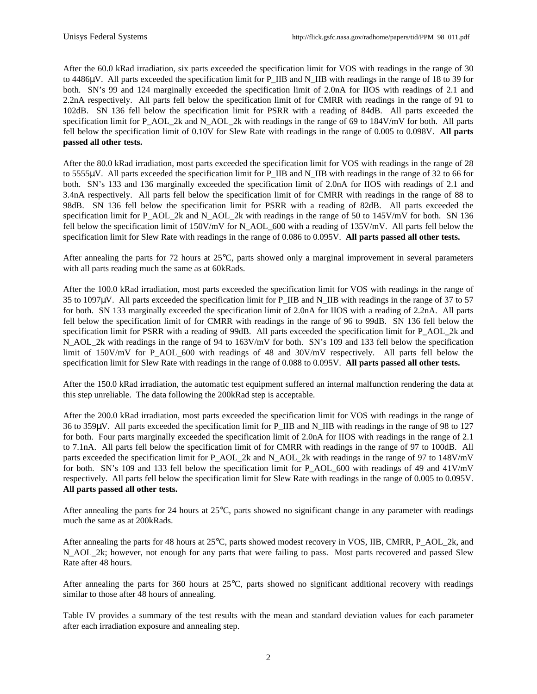After the 60.0 kRad irradiation, six parts exceeded the specification limit for VOS with readings in the range of 30 to 4486μV. All parts exceeded the specification limit for P\_IIB and N\_IIB with readings in the range of 18 to 39 for both. SN's 99 and 124 marginally exceeded the specification limit of 2.0nA for IIOS with readings of 2.1 and 2.2nA respectively. All parts fell below the specification limit of for CMRR with readings in the range of 91 to 102dB. SN 136 fell below the specification limit for PSRR with a reading of 84dB. All parts exceeded the specification limit for P\_AOL\_2k and N\_AOL\_2k with readings in the range of 69 to 184V/mV for both. All parts fell below the specification limit of 0.10V for Slew Rate with readings in the range of 0.005 to 0.098V. **All parts passed all other tests.**

After the 80.0 kRad irradiation, most parts exceeded the specification limit for VOS with readings in the range of 28 to 5555μV. All parts exceeded the specification limit for P\_IIB and N\_IIB with readings in the range of 32 to 66 for both. SN's 133 and 136 marginally exceeded the specification limit of 2.0nA for IIOS with readings of 2.1 and 3.4nA respectively. All parts fell below the specification limit of for CMRR with readings in the range of 88 to 98dB. SN 136 fell below the specification limit for PSRR with a reading of 82dB. All parts exceeded the specification limit for P\_AOL\_2k and N\_AOL\_2k with readings in the range of 50 to 145V/mV for both. SN 136 fell below the specification limit of 150V/mV for N\_AOL\_600 with a reading of 135V/mV. All parts fell below the specification limit for Slew Rate with readings in the range of 0.086 to 0.095V. **All parts passed all other tests.**

After annealing the parts for 72 hours at 25°C, parts showed only a marginal improvement in several parameters with all parts reading much the same as at 60kRads.

After the 100.0 kRad irradiation, most parts exceeded the specification limit for VOS with readings in the range of 35 to 1097 $\mu$ V. All parts exceeded the specification limit for P\_IIB and N\_IIB with readings in the range of 37 to 57 for both. SN 133 marginally exceeded the specification limit of 2.0nA for IIOS with a reading of 2.2nA. All parts fell below the specification limit of for CMRR with readings in the range of 96 to 99dB. SN 136 fell below the specification limit for PSRR with a reading of 99dB. All parts exceeded the specification limit for P\_AOL\_2k and N AOL 2k with readings in the range of 94 to 163V/mV for both. SN's 109 and 133 fell below the specification limit of 150V/mV for P\_AOL\_600 with readings of 48 and 30V/mV respectively. All parts fell below the specification limit for Slew Rate with readings in the range of 0.088 to 0.095V. **All parts passed all other tests.**

After the 150.0 kRad irradiation, the automatic test equipment suffered an internal malfunction rendering the data at this step unreliable. The data following the 200kRad step is acceptable.

After the 200.0 kRad irradiation, most parts exceeded the specification limit for VOS with readings in the range of 36 to 359µV. All parts exceeded the specification limit for P\_IIB and N\_IIB with readings in the range of 98 to 127 for both. Four parts marginally exceeded the specification limit of 2.0nA for IIOS with readings in the range of 2.1 to 7.1nA. All parts fell below the specification limit of for CMRR with readings in the range of 97 to 100dB. All parts exceeded the specification limit for P\_AOL\_2k and N\_AOL\_2k with readings in the range of 97 to 148V/mV for both. SN's 109 and 133 fell below the specification limit for P\_AOL\_600 with readings of 49 and  $41V/mV$ respectively. All parts fell below the specification limit for Slew Rate with readings in the range of 0.005 to 0.095V. **All parts passed all other tests.**

After annealing the parts for 24 hours at  $25^{\circ}$ C, parts showed no significant change in any parameter with readings much the same as at 200kRads.

After annealing the parts for 48 hours at 25°C, parts showed modest recovery in VOS, IIB, CMRR, P\_AOL\_2k, and N AOL 2k; however, not enough for any parts that were failing to pass. Most parts recovered and passed Slew Rate after 48 hours.

After annealing the parts for 360 hours at 25°C, parts showed no significant additional recovery with readings similar to those after 48 hours of annealing.

Table IV provides a summary of the test results with the mean and standard deviation values for each parameter after each irradiation exposure and annealing step.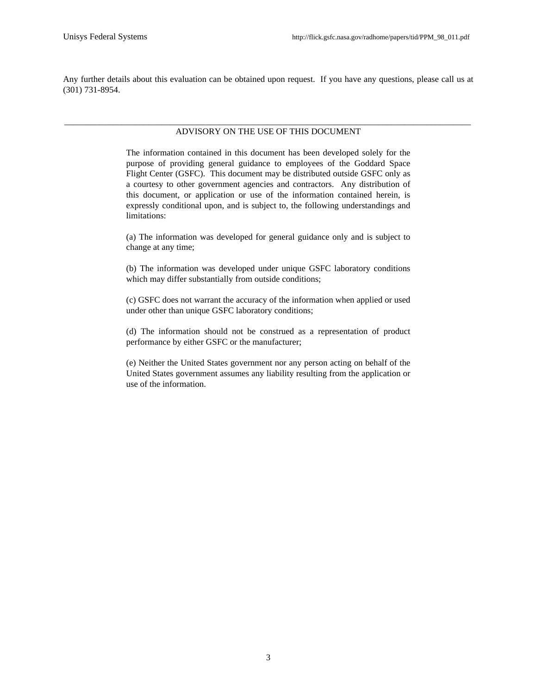Any further details about this evaluation can be obtained upon request. If you have any questions, please call us at (301) 731-8954.

#### \_\_\_\_\_\_\_\_\_\_\_\_\_\_\_\_\_\_\_\_\_\_\_\_\_\_\_\_\_\_\_\_\_\_\_\_\_\_\_\_\_\_\_\_\_\_\_\_\_\_\_\_\_\_\_\_\_\_\_\_\_\_\_\_\_\_\_\_\_\_\_\_\_\_\_\_\_\_\_\_\_\_\_\_\_\_\_\_\_\_\_\_ ADVISORY ON THE USE OF THIS DOCUMENT

The information contained in this document has been developed solely for the purpose of providing general guidance to employees of the Goddard Space Flight Center (GSFC). This document may be distributed outside GSFC only as a courtesy to other government agencies and contractors. Any distribution of this document, or application or use of the information contained herein, is expressly conditional upon, and is subject to, the following understandings and limitations:

(a) The information was developed for general guidance only and is subject to change at any time;

(b) The information was developed under unique GSFC laboratory conditions which may differ substantially from outside conditions;

(c) GSFC does not warrant the accuracy of the information when applied or used under other than unique GSFC laboratory conditions;

(d) The information should not be construed as a representation of product performance by either GSFC or the manufacturer;

(e) Neither the United States government nor any person acting on behalf of the United States government assumes any liability resulting from the application or use of the information.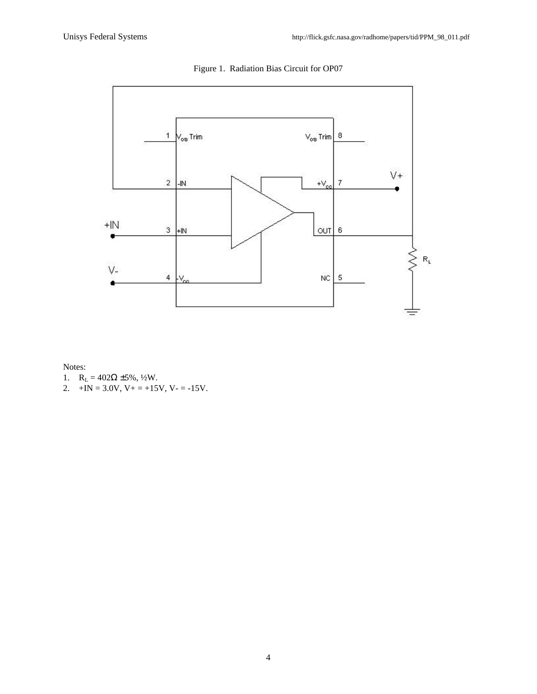

Figure 1. Radiation Bias Circuit for OP07

Notes:

- 1.  $R_L = 402\Omega \pm 5\%, \frac{1}{2}W$ .
- 2.  $+IN = 3.0V$ ,  $V_+ = +15V$ ,  $V_- = -15V$ .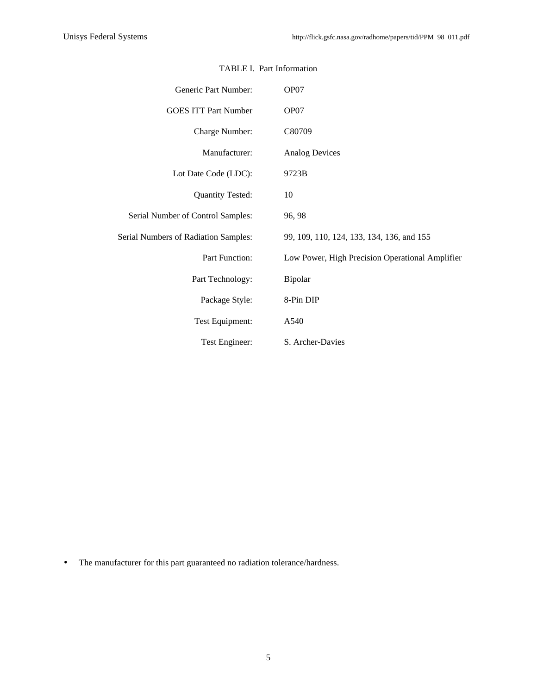| Generic Part Number:                 | OP07                                            |
|--------------------------------------|-------------------------------------------------|
| <b>GOES ITT Part Number</b>          | OP07                                            |
| Charge Number:                       | C80709                                          |
| Manufacturer:                        | <b>Analog Devices</b>                           |
| Lot Date Code (LDC):                 | 9723B                                           |
| <b>Quantity Tested:</b>              | 10                                              |
| Serial Number of Control Samples:    | 96, 98                                          |
| Serial Numbers of Radiation Samples: | 99, 109, 110, 124, 133, 134, 136, and 155       |
| Part Function:                       | Low Power, High Precision Operational Amplifier |
| Part Technology:                     | Bipolar                                         |
| Package Style:                       | 8-Pin DIP                                       |
| Test Equipment:                      | A540                                            |
| Test Engineer:                       | S. Archer-Davies                                |

#### TABLE I. Part Information

• The manufacturer for this part guaranteed no radiation tolerance/hardness.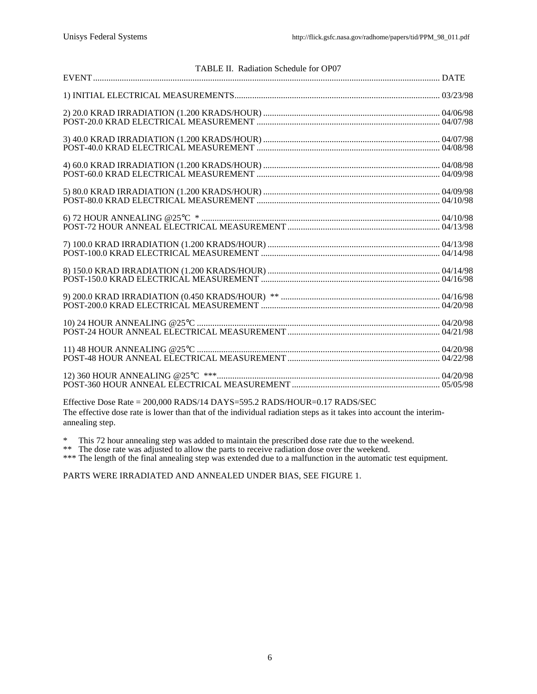| 3) 40.0 KRAD IRRADIATION (1.200 KRADS/HOUR) ……………………………………………………………………………… 04/07/98 POST-40.0 KRAD ELECTRICAL MEASUREMENT ………………………………………………………… 04/08/98 |  |
|-----------------------------------------------------------------------------------------------------------------------------------------------------------|--|
|                                                                                                                                                           |  |
|                                                                                                                                                           |  |
|                                                                                                                                                           |  |
|                                                                                                                                                           |  |
|                                                                                                                                                           |  |
|                                                                                                                                                           |  |
|                                                                                                                                                           |  |
|                                                                                                                                                           |  |
|                                                                                                                                                           |  |
|                                                                                                                                                           |  |

Effective Dose Rate = 200,000 RADS/14 DAYS=595.2 RADS/HOUR=0.17 RADS/SEC The effective dose rate is lower than that of the individual radiation steps as it takes into account the interimannealing step.

\* This 72 hour annealing step was added to maintain the prescribed dose rate due to the weekend.

\*\* The dose rate was adjusted to allow the parts to receive radiation dose over the weekend.

\*\*\* The length of the final annealing step was extended due to a malfunction in the automatic test equipment.

PARTS WERE IRRADIATED AND ANNEALED UNDER BIAS, SEE FIGURE 1.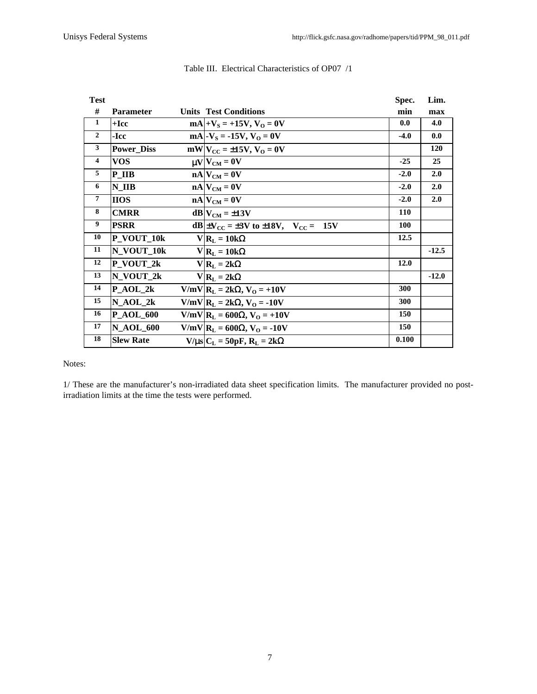| <b>Test</b>             |                   |                                                        | Spec.      | Lim.       |
|-------------------------|-------------------|--------------------------------------------------------|------------|------------|
| #                       | <b>Parameter</b>  | <b>Units Test Conditions</b>                           | min        | max        |
| $\mathbf{1}$            | $+$ <b>Icc</b>    | $mA +V_s = +15V, V_0 = 0V$                             | 0.0        | 4.0        |
| $\overline{2}$          | -Icc              | $mA$ - $V_s$ = -15V, $V_0$ = 0V                        | $-4.0$     | 0.0        |
| 3                       | <b>Power Diss</b> | $mW V_{CC} = \pm 15V$ , $V_O = 0V$                     |            | <b>120</b> |
| $\overline{\mathbf{4}}$ | <b>VOS</b>        | $\mu V V_{CM} = 0V$                                    | $-25$      | 25         |
| 5                       | P IIB             | $nA$ $V_{CM} = 0V$                                     | $-2.0$     | 2.0        |
| 6                       | $N$ IIB           | $nA$ $V_{CM} = 0V$                                     | $-2.0$     | 2.0        |
| $\overline{7}$          | <b>IIOS</b>       | $nA$ $V_{CM} = 0V$                                     | $-2.0$     | 2.0        |
| 8                       | <b>CMRR</b>       | $dB V_{CM} = \pm 13V$                                  | <b>110</b> |            |
| 9                       | <b>PSRR</b>       | $dB \pm V_{CC} = \pm 3V$ to $\pm 18V$ , $V_{CC} = 15V$ | <b>100</b> |            |
| 10                      | P_VOUT_10k        | $V R_L = 10k\Omega$                                    | 12.5       |            |
| 11                      | N VOUT 10k        | $V R_L = 10k\Omega$                                    |            | $-12.5$    |
| 12                      | P VOUT 2k         | $V R_{L} = 2k\Omega$                                   | 12.0       |            |
| 13                      | $N_VOUT_2k$       | $V R_L = 2k\Omega$                                     |            | $-12.0$    |
| 14                      | $P_AOL_2k$        | $V/mV$ $R_L = 2k\Omega$ , $V_O = +10V$                 | 300        |            |
| 15                      | N AOL 2k          | $V/mV$   $R_L = 2k\Omega$ , $V_O = -10V$               | 300        |            |
| 16                      | $P_AOL_600$       | V/mV  $R_L$ = 600Ω, V <sub>O</sub> = +10V              | 150        |            |
| 17                      | <b>N_AOL_600</b>  | V/mV  $R_L$ = 600Ω, V <sub>O</sub> = -10V              | 150        |            |
| 18                      | <b>Slew Rate</b>  | $V/\mu s$ $C_{L} = 50pF$ , $R_{L} = 2k\Omega$          | 0.100      |            |

### Table III. Electrical Characteristics of OP07 /1

Notes:

1/ These are the manufacturer's non-irradiated data sheet specification limits. The manufacturer provided no postirradiation limits at the time the tests were performed.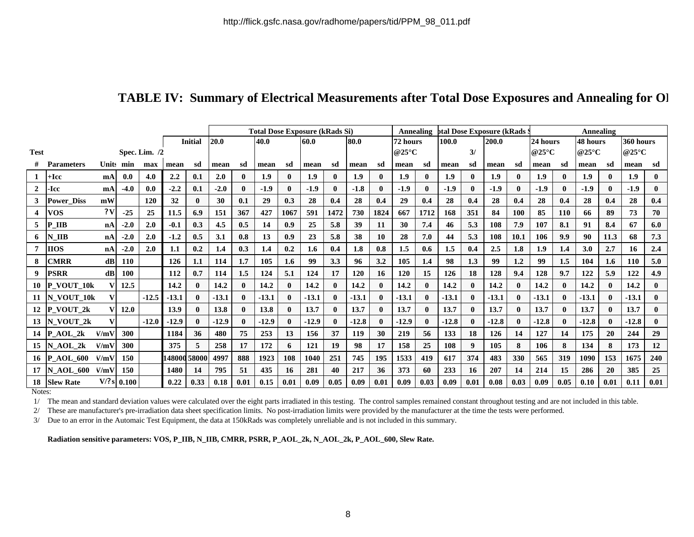## TABLE IV: Summary of Electrical Measurements after Total Dose Exposures and Annealing for Ol

|                |                   |               |                |         |              |                | <b>Total Dose Exposure (kRads Si)</b> |              |         |              |         |              |         |                          |                  | Annealing    | <b>btal Dose Exposure (kRads</b> |              |         |                          |          | Annealing        |                  |              |           |              |  |  |
|----------------|-------------------|---------------|----------------|---------|--------------|----------------|---------------------------------------|--------------|---------|--------------|---------|--------------|---------|--------------------------|------------------|--------------|----------------------------------|--------------|---------|--------------------------|----------|------------------|------------------|--------------|-----------|--------------|--|--|
|                |                   |               |                |         |              | <b>Initial</b> | 20.0                                  |              | 40.0    |              | 60.0    |              | 80.0    |                          | 72 hours         |              | 100.0                            |              | 200.0   |                          | 24 hours |                  | 48 hours         |              | 360 hours |              |  |  |
| <b>Test</b>    | Spec. Lim. /2     |               |                |         |              |                |                                       |              |         |              |         |              |         | @25 $\mathrm{^{\circ}C}$ |                  | 3/           |                                  |              |         | @25 $\mathrm{^{\circ}C}$ |          | @25 $^{\circ}$ C |                  | @25°C        |           |              |  |  |
|                | <b>Parameters</b> | <b>Units</b>  | min            | max     | mean         | sd             | mean                                  | sd           | mean    | sd           | mean    | sd           | mean    | sd                       | mean             | sd           | mean                             | sd           | mean    | sd                       | mean     | sd               | mean             | sd           | mean      | sd           |  |  |
| 1              | +Icc              | mA            | 0.0            | 4.0     | 2.2          | 0.1            | 2.0                                   | $\mathbf{0}$ | 1.9     | $\mathbf{0}$ | 1.9     | 0            | 1.9     | $\mathbf{0}$             | 1.9 <sup>2</sup> | $\mathbf{0}$ | 1.9                              | $\mathbf{0}$ | 1.9     | $\mathbf{0}$             | 1.9      | $\mathbf{0}$     | 1.9 <sup>2</sup> | $\mathbf{0}$ | 1.9       | $\mathbf{0}$ |  |  |
| $\overline{2}$ | -Icc              | mA            | $-4.0$         | 0.0     | $-2.2$       | 0.1            | $-2.0$                                | $\mathbf{0}$ | $-1.9$  |              | $-1.9$  | 0            | $-1.8$  | $\mathbf{0}$             | $-1.9$           | $\mathbf{0}$ | $-1.9$                           |              | $-1.9$  | $\mathbf{0}$             | $-1.9$   | $\mathbf{0}$     | $-1.9$           |              | $-1.9$    | $\mathbf{0}$ |  |  |
| 3              | <b>Power Diss</b> | mW            |                | 120     | 32           | $\mathbf{0}$   | 30                                    | 0.1          | 29      | 0.3          | 28      | 0.4          | 28      | 0.4                      | 29               | 0.4          | 28                               | 0.4          | 28      | 0.4                      | 28       | 0.4              | 28               | 0.4          | 28        | 0.4          |  |  |
|                | <b>VOS</b>        | 2V            | $-25$          | 25      | 11.5         | 6.9            | 151                                   | 367          | 427     | 1067         | 591     | 1472         | 730     | 1824                     | 667              | 1712         | 168                              | 351          | 84      | 100                      | 85       | <b>110</b>       | 66               | 89           | 73        | 70           |  |  |
| 5              | <b>IIB</b>        | nA            | $-2.0$         | 2.0     | $-0.1$       | 0.3            | 4.5                                   | 0.5          | 14      | 0.9          | 25      | 5.8          | 39      | 11                       | 30               | 7.4          | 46                               | 5.3          | 108     | 7.9                      | 107      | 8.1              | 91               | 8.4          | 67        | 6.0          |  |  |
| 6              | N IIB             | nA            | $-2.0$         | 2.0     | $-1.2$       | 0.5            | 3.1                                   | 0.8          | 13      | 0.9          | 23      | 5.8          | 38      | 10                       | 28               | 7.0          | 44                               | 5.3          | 108     | 10.1                     | 106      | 9.9              | 90               | 11.3         | 68        | 7.3          |  |  |
| 7              | <b>HOS</b>        | nA            | $-2.0$         | 2.0     | 1.1          | 0.2            | 1.4                                   | 0.3          | $1.4\,$ | 0.2          | 1.6     | 0.4          | 1.8     | 0.8                      | 1.5              | 0.6          | 1.5                              | 0.4          | 2.5     | 1.8                      | 1.9      | 1.4              | <b>3.0</b>       | 2.7          | 16        | 2.4          |  |  |
| 8              | CMRR              | $\mathbf{dB}$ | 110            |         | 126          | 1.1            | 114                                   | 1.7          | 105     | 1.6          | 99      | 3.3          | 96      | 3.2                      | 105              | 1.4          | 98                               | 1.3          | 99      | 1.2                      | 99       | 1.5              | 104              | 1.6          | 110       | 5.0          |  |  |
| 9              | <b>PSRR</b>       | $\mathbf{dB}$ | 100            |         | 112          | 0.7            | 114                                   | 1.5          | 124     | 5.1          | 124     | 17           | 120     | 16                       | 120              | 15           | 126                              | 18           | 128     | 9.4                      | 128      | 9.7              | 122              | 5.9          | 122       | 4.9          |  |  |
| 10             | P VOUT 10k        |               | 12.5           |         | 14.2         | 0              | 14.2                                  | $\mathbf{0}$ | 14.2    |              | 14.2    | $\mathbf{0}$ | 14.2    | $\mathbf{0}$             | 14.2             | $\mathbf{0}$ | 14.2                             | 0            | 14.2    | $\mathbf{0}$             | 14.2     | $\mathbf{0}$     | 14.2             |              | 14.2      | $\mathbf{0}$ |  |  |
| 11             | N_VOUT_10k        | V             |                | $-12.5$ | $-13.1$      | $\mathbf{0}$   | $-13.1$                               | $\mathbf{0}$ | $-13.1$ |              | $-13.1$ | 0            | $-13.1$ | $\mathbf{0}$             | $-13.1$          | $\mathbf{0}$ | $-13.1$                          |              | $-13.1$ | $\mathbf{0}$             | $-13.1$  | $\mathbf{0}$     | $-13.1$          |              | $-13.1$   | $\mathbf{0}$ |  |  |
| 12             | P VOUT 2k         |               | 12.0           |         | 13.9         | $\mathbf{0}$   | 13.8                                  | $\mathbf{0}$ | 13.8    |              | 13.7    | 0            | 13.7    | $\mathbf{0}$             | 13.7             | $\mathbf{0}$ | 13.7                             |              | 13.7    | $\mathbf{0}$             | 13.7     | $\mathbf{0}$     | 13.7             |              | 13.7      | $\mathbf{0}$ |  |  |
| 13             | N VOUT 2k         | V             |                | $-12.0$ | $-12.9$      | $\mathbf{0}$   | $-12.9$                               | $\mathbf{0}$ | $-12.9$ |              | $-12.9$ | $\mathbf{0}$ | $-12.8$ | $\mathbf{0}$             | $-12.9$          | $\mathbf{0}$ | $-12.8$                          |              | $-12.8$ | $\mathbf{0}$             | $-12.8$  | $\mathbf{0}$     | $-12.8$          |              | $-12.8$   | $\mathbf{0}$ |  |  |
| 14             | P AOL 2k          | V/mV          | 300            |         | 1184         | 36             | 480                                   | 75           | 253     | 13           | 156     | 37           | 119     | 30                       | 219              | 56           | 133                              | 18           | 126     | 14                       | 127      | 14               | 175              | 20           | 244       | 29           |  |  |
| 15             | N AOL 2k          | V/mV          | 300            |         | 375          | 5              | 258                                   | 17           | 172     | 6            | 121     | 19           | 98      | 17                       | 158              | 25           | 108                              | 9            | 105     | 8                        | 106      | 8                | 134              |              | 173       | 12           |  |  |
| 16             | <b>P AOL 600</b>  | V/mV          | 150            |         | 148000 58000 |                | 4997                                  | 888          | 1923    | 108          | 1040    | 251          | 745     | 195                      | 1533             | 419          | 617                              | 374          | 483     | 330                      | 565      | 319              | 1090             | 153          | 1675      | 240          |  |  |
| 17             | <b>N AOL 600</b>  | V/mV          | 150            |         | 1480         | 14             | 795                                   | 51           | 435     | 16           | 281     | 40           | 217     | 36                       | 373              | 60           | 233                              | 16           | 207     | 14                       | 214      | 15               | 286              | 20           | 385       | 25           |  |  |
| 18             | <b>Slew Rate</b>  |               | $V$ /? s 0.100 |         | 0.22         | 0.33           | 0.18                                  | 0.01         | 0.15    | 0.01         | 0.09    | 0.05         | 0.09    | 0.01                     | 0.09             | 0.03         | 0.09                             | 0.01         | 0.08    | 0.03                     | 0.09     | 0.05             | 0.10             | 0.01         | 0.11      | 0.01         |  |  |

Notes:

1/ The mean and standard deviation values were calculated over the eight parts irradiated in this testing. The control samples remained constant throughout testing and are not included in this table.

2/ These are manufacturer's pre-irradiation data sheet specification limits. No post-irradiation limits were provided by the manufacturer at the time the tests were performed.

3/ Due to an error in the Automaic Test Equipment, the data at 150kRads was completely unreliable and is not included in this summary.

**Radiation sensitive parameters: VOS, P\_IIB, N\_IIB, CMRR, PSRR, P\_AOL\_2k, N\_AOL\_2k, P\_AOL\_600, Slew Rate.**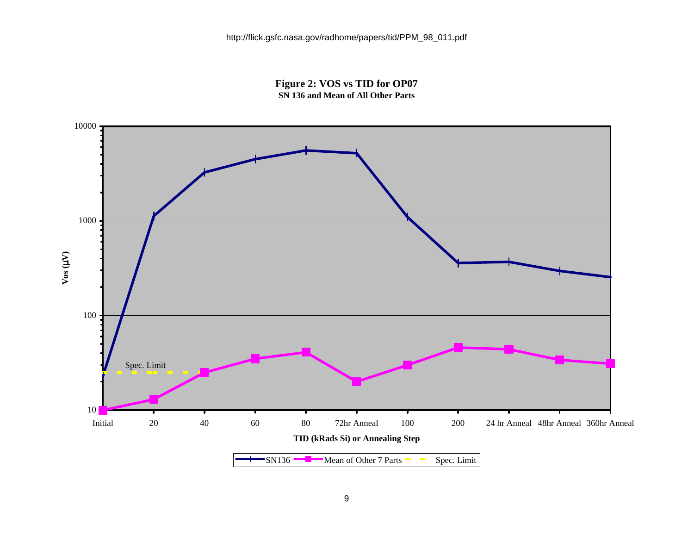**Figure 2: VOS vs TID for OP07 SN 136 and Mean of All Other Parts**

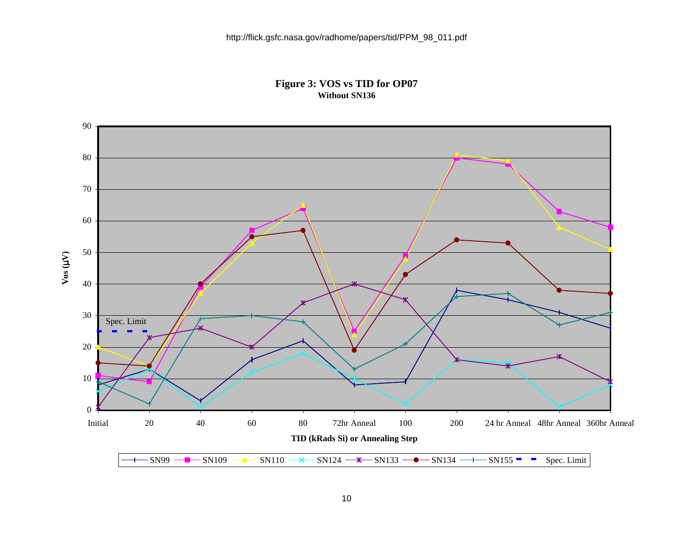### **Figure 3: VOS vs TID for OP07 Without SN136**

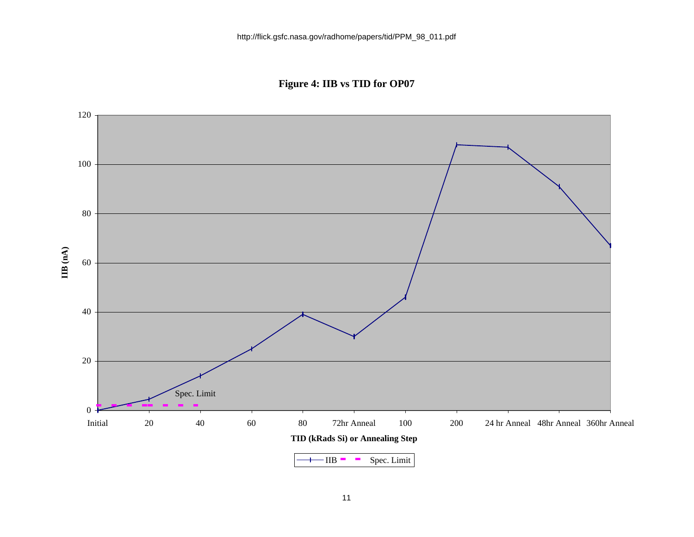**Figure 4: IIB vs TID for OP07**